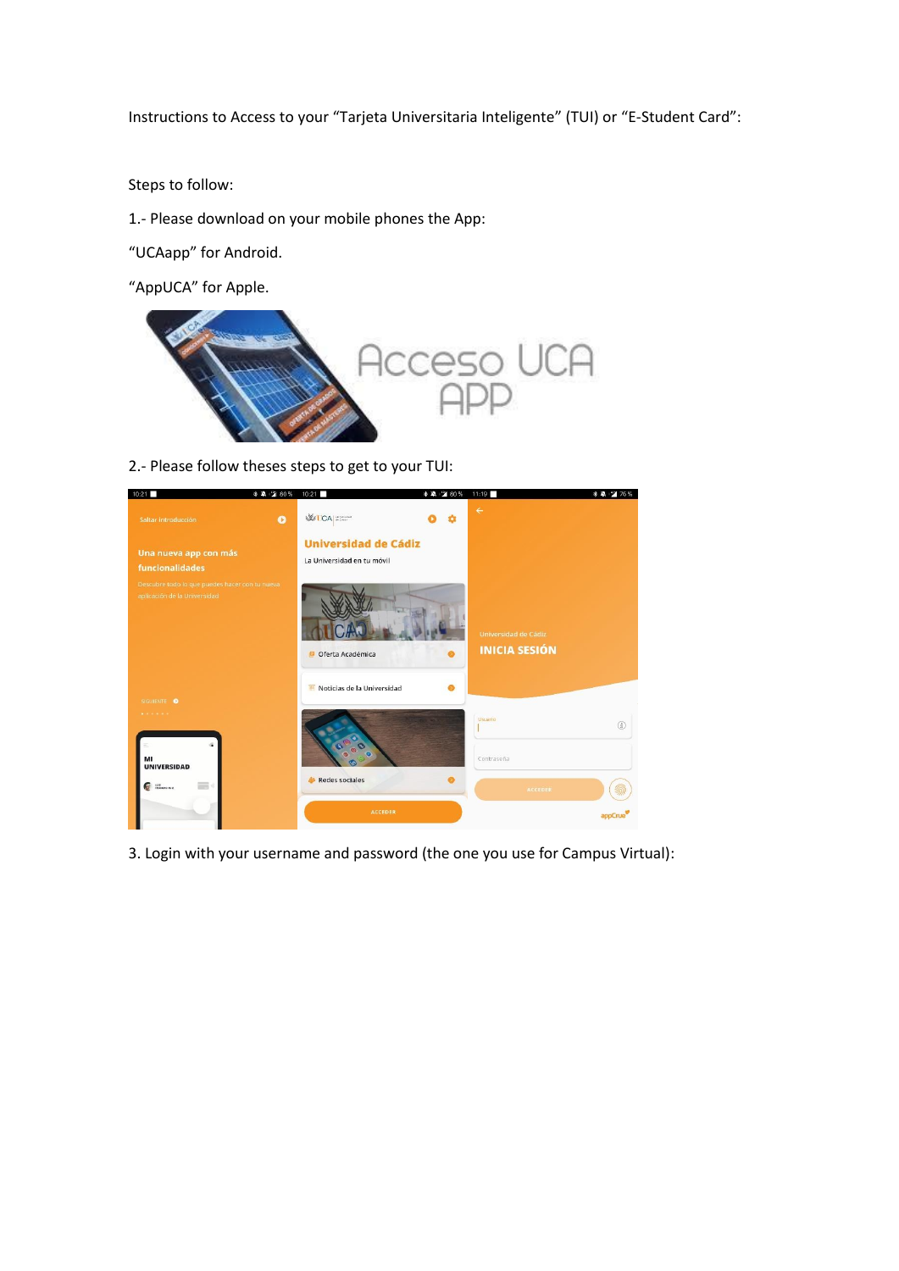Instructions to Access to your "Tarjeta Universitaria Inteligente" (TUI) or "E-Student Card":

Steps to follow:

1.- Please download on your mobile phones the App:

"UCAapp" for Android.

"AppUCA" for Apple.



2.- Please follow theses steps to get to your TUI:

| 10:21                                                                          | * * 1 80% | 10:21                                                     | * 单:2 80% | 11:19                                        | * * * 76%         |
|--------------------------------------------------------------------------------|-----------|-----------------------------------------------------------|-----------|----------------------------------------------|-------------------|
| Saltar introducción                                                            | $\bullet$ | <b>VICA</b> STATE                                         |           | $\leftarrow$                                 |                   |
| Una nueva app con más<br>funcionalidades                                       |           | <b>Universidad de Cádiz</b><br>La Universidad en tu móvil |           |                                              |                   |
| Descubre todo lo que puedes hacer con tu nueva<br>aplicación de la Universidad |           | Oferta Académica                                          |           | Universidad de Cádiz<br><b>INICIA SESIÓN</b> |                   |
| SIGUIENTE O                                                                    |           | Noticias de la Universidad                                |           |                                              |                   |
|                                                                                |           |                                                           |           | Usuario                                      | $\textcircled{1}$ |
| MI<br><b>UNIVERSIDAD</b>                                                       |           | $\mathbf{\widehat{c}}$<br>$\bullet$<br>o                  |           | Contraseña                                   |                   |
| ا د<br><b>THOMAS PRO</b>                                                       |           | Redes sociales                                            |           | ACCEDER                                      |                   |
|                                                                                |           | ACCEDER                                                   |           |                                              | appCru            |

3. Login with your username and password (the one you use for Campus Virtual):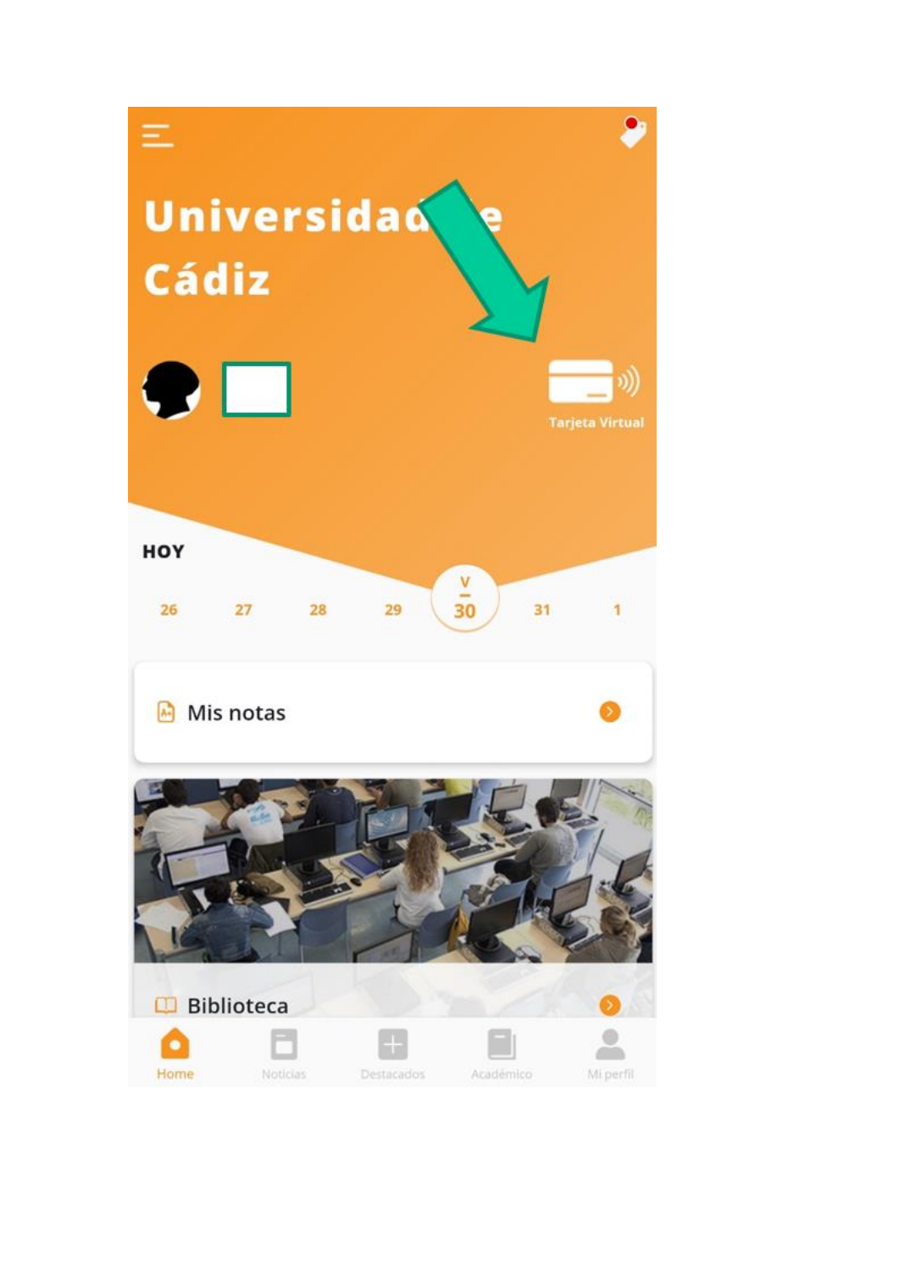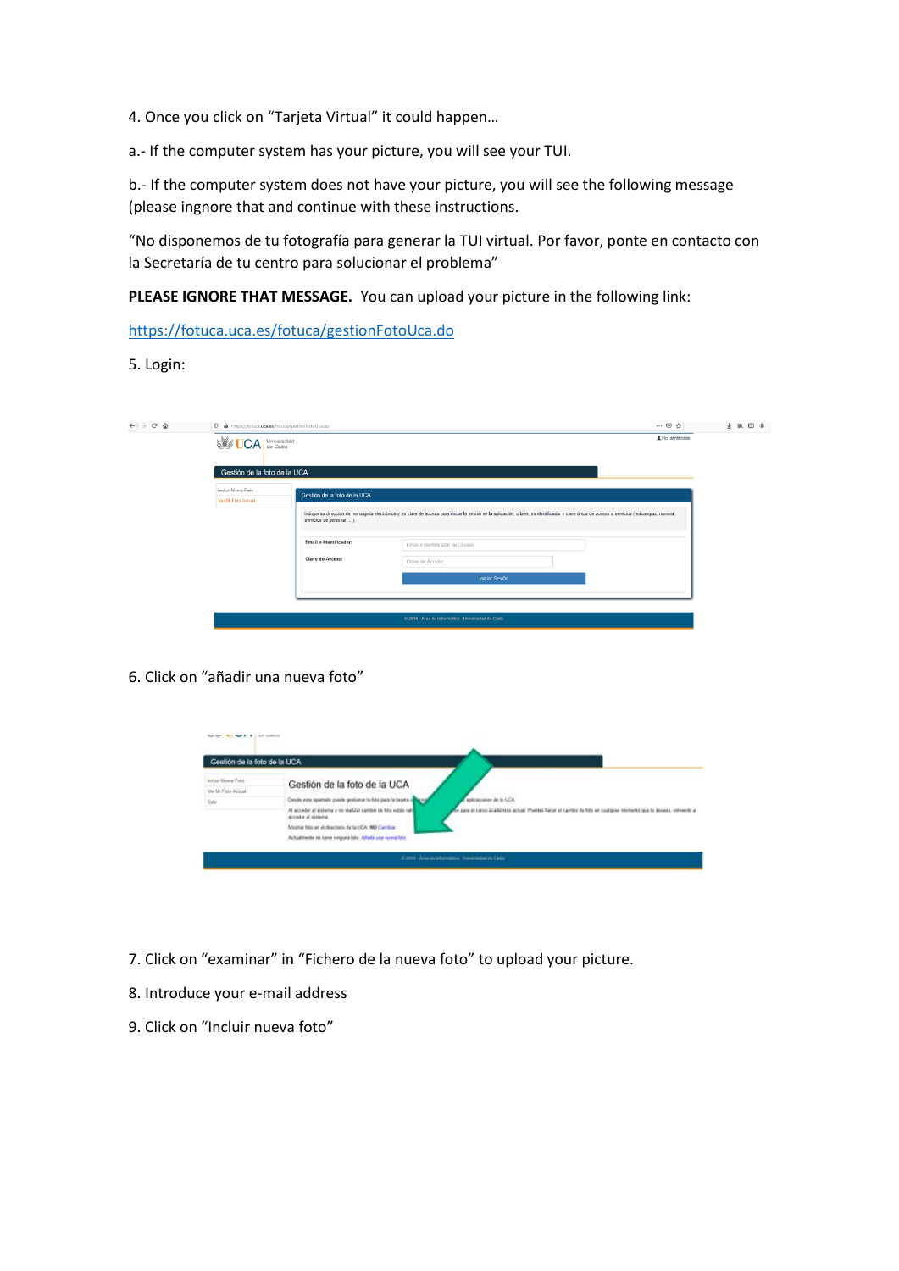4. Once you click on "Tarjeta Virtual" it could happen…

a.- If the computer system has your picture, you will see your TUI.

b.- If the computer system does not have your picture, you will see the following message (please ingnore that and continue with these instructions.

"No disponemos de tu fotografía para generar la TUI virtual. Por favor, ponte en contacto con la Secretaría de tu centro para solucionar el problema"

**PLEASE IGNORE THAT MESSAGE.** You can upload your picture in the following link:

<https://fotuca.uca.es/fotuca/gestionFotoUca.do>

5. Login:

| $\leftarrow$ $\rightarrow$ $\alpha$ $\alpha$ | 10 A https://fotuca.uca.es/fotuca/gestionFotoUca.do |                              |                                                                                                                                                                                               | … ◎ ☆             | $+$ 10 0 $+$ |
|----------------------------------------------|-----------------------------------------------------|------------------------------|-----------------------------------------------------------------------------------------------------------------------------------------------------------------------------------------------|-------------------|--------------|
|                                              | <b>WEA</b> Universidad                              |                              |                                                                                                                                                                                               | A No identificado |              |
|                                              | Gestión de la foto de la UCA                        |                              |                                                                                                                                                                                               |                   |              |
|                                              | Incluir Nueva Foto<br>Ver Mi Foto Actual            | Gestión de la foto de la UCA |                                                                                                                                                                                               |                   |              |
|                                              |                                                     | servicios de personal, ).    | Indique su dirección de mensajería electrónica y su clave de acceso para iniciar la sesión en la aplicación, o bien, su identificador y clave única de acceso a servicios (redcampus, nomina, |                   |              |
|                                              |                                                     | Email o Identificador:       | Email o Identificador de Usuario                                                                                                                                                              |                   |              |
|                                              |                                                     | Clave de Acceso:             | Clave de Acceso                                                                                                                                                                               |                   |              |
|                                              |                                                     |                              | <b>Iniciar Sesión</b>                                                                                                                                                                         |                   |              |
|                                              |                                                     |                              |                                                                                                                                                                                               |                   |              |
|                                              |                                                     |                              | @ 2016 - Área de Informática - Universidad de Cádiz                                                                                                                                           |                   |              |

6. Click on "añadir una nueva foto"

| Gestión de la foto de la UCA |                                                                                    |                                                                                                              |
|------------------------------|------------------------------------------------------------------------------------|--------------------------------------------------------------------------------------------------------------|
| Incluir Nuisear Poto         | Gestión de la foto de la UCA                                                       |                                                                                                              |
| Ver Mi Feto Actual           |                                                                                    |                                                                                                              |
| Sale:                        | Desde este apartado puede gestionar la fiña para la tageta i                       | anktationer de la UCA                                                                                        |
|                              | Al acceder al sistema y no matizar cambo de loto estás val-<br>acceder al sistema. | para el curso académico actual Poedes Nacer el cambo de foto en cualquier momento que lo desere, volviendo a |
|                              | Mostrar foto en el directorio de la UCA: NO Cambiar                                |                                                                                                              |
|                              | Actualmente na tiene singura fata. Afadir una nusca fato.                          |                                                                                                              |

- 7. Click on "examinar" in "Fichero de la nueva foto" to upload your picture.
- 8. Introduce your e-mail address
- 9. Click on "Incluir nueva foto"